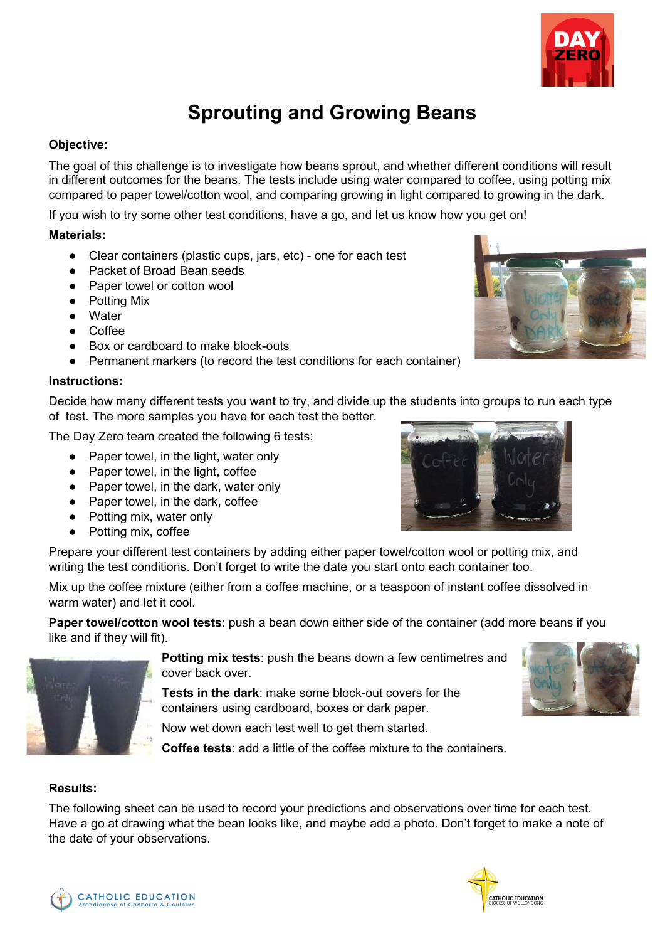

## **Sprouting and Growing Beans**

### **Objective:**

The goal of this challenge is to investigate how beans sprout, and whether different conditions will result in different outcomes for the beans. The tests include using water compared to coffee, using potting mix compared to paper towel/cotton wool, and comparing growing in light compared to growing in the dark.

If you wish to try some other test conditions, have a go, and let us know how you get on!

#### **Materials:**

- Clear containers (plastic cups, jars, etc) one for each test
- Packet of Broad Bean seeds
- Paper towel or cotton wool
- Potting Mix
- Water
- Coffee
- Box or cardboard to make block-outs
- Permanent markers (to record the test conditions for each container)

#### **Instructions:**

Decide how many different tests you want to try, and divide up the students into groups to run each type of test. The more samples you have for each test the better.

The Day Zero team created the following 6 tests:

- Paper towel, in the light, water only
- Paper towel, in the light, coffee
- Paper towel, in the dark, water only
- Paper towel, in the dark, coffee
- Potting mix, water only
- Potting mix, coffee

Prepare your different test containers by adding either paper towel/cotton wool or potting mix, and writing the test conditions. Don't forget to write the date you start onto each container too.

Mix up the coffee mixture (either from a coffee machine, or a teaspoon of instant coffee dissolved in warm water) and let it cool.

**Paper towel/cotton wool tests**: push a bean down either side of the container (add more beans if you like and if they will fit).



**Potting mix tests**: push the beans down a few centimetres and cover back over.

**Tests in the dark**: make some block-out covers for the containers using cardboard, boxes or dark paper.

Now wet down each test well to get them started.

**Coffee tests**: add a little of the coffee mixture to the containers.

#### **Results:**

The following sheet can be used to record your predictions and observations over time for each test. Have a go at drawing what the bean looks like, and maybe add a photo. Don't forget to make a note of the date of your observations.